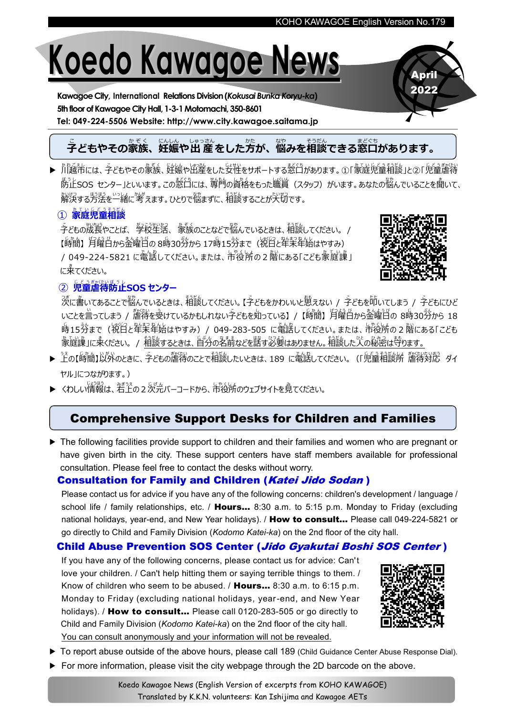# **Koedo Kawagoe News**

**Kawagoe City, International Relations Division(***Kokusai Bunka Koryu-ka***) 5thfloor of Kawagoe City Hall, 1-3-1Motomachi, 350-8601 Tel: 049-224-5506 Website: http://www.city.kawagoe.saitama.jp**

### 。<br>子どもやその家族、妊娠や出 産をした方が、悩みを相談できる窓口があります。

▶ พันธุ์ละบริการ จะถึง บันที่ หารับ เป็น จะ บริการ จะ จะ จะ บริการ จะ บริการ จะ บริการ บริการ จะ บริการ จะ บริการ<br>▶ 川越市には、 子どもやその家族、 妊娠や出産をした女性をサポートする窓口があります。 ①「家庭児童相談」と②「児童虐待 <sup>あっ</sup>上SOS センター」といいます。この慈臼には、 脊背の資格をもった職賞(スタッフ)がいます。あなたの悩んでいることを聞いて、 解決かいけつ する方法 ほうほう を一緒い っ し ょ に考 かんが えます。ひとりで悩 なやまずに、相談そ う だ んすることが大切た いせつ です。

#### ① 家庭児童相談

 $\tilde{\vec{\tau}}$ どもの成長やことば、 学校生活、 象族のことなどで悩んでいるときは、 稲談してください。 / 【時間】月醒白から金曜日の 8時30分から 17時15分まで(祝日と年末年始はやすみ) / 049-224-5821 に電話してください。または、市役所の2 階にある「こども彖庭谣」 に来 き てください。



April 2022

#### **② 児童虐待防止SOS センター**

った。<br>次に書いてあることで悩んでいるときは、相談してください。【子どもをかわいいと思えない / 子どもを叩いてしまう / 子どもにひど いことを言ってしまう / 釐待を受けているかもしれない字どもを知っている】/【時簡】月醒白から金曜日の 8時30分から 18 .<br>時15労まで(祝臼と牮茉牟始はやすみ)/ 049-283-505 に電話してください。または、 市役所の 2 階にある「こども <u>象庭</u>譲」に来ください。/ 稲談するときは、旨分の名前などを諾す必要はありません。租談した人の秘密は詩ります。

- ▶ 上の【時間】以外のときに、子どもの釐待のことで租談したいときは、189 に電話してください。(「児童租談所 詹得好於 ダイ ヤル」につながります。)
- ▶ くわしい情報は、若上の2次元バーコードから、市役所のウェブサイトを見てください。

#### Comprehensive Support Desks for Children and Families

▶ The following facilities provide support to children and their families and women who are pregnant or have given birth in the city. These support centers have staff members available for professional consultation. Please feel free to contact the desks without worry.

#### **Consultation for Family and Children (Katei Jido Sodan)**

Please contact us for advice if you have any of the following concerns: children's development / language / school life / family relationships, etc. / **Hours...** 8:30 a.m. to 5:15 p.m. Monday to Friday (excluding national holidays, year-end, and New Year holidays). / How to consult... Please call 049-224-5821 or go directly to Child and Family Division (*Kodomo Katei-ka*) on the 2nd floor of the city hall.

#### Child Abuse Prevention SOS Center (Jido Gyakutai Boshi SOS Center)

If you have any of the following concerns, please contact us for advice: Can't love your children. / Can't help hitting them or saying terrible things to them. / Know of children who seem to be abused. / Hours... 8:30 a.m. to 6:15 p.m. Monday to Friday (excluding national holidays, year-end, and New Year holidays). / How to consult... Please call 0120-283-505 or go directly to Child and Family Division (*Kodomo Katei-ka*) on the 2nd floor of the city hall. You can consult anonymously and your information will not be revealed.



- ▶ To report abuse outside of the above hours, please call 189 (Child Guidance Center Abuse Response Dial).
- ▶ For more information, please visit the city webpage through the 2D barcode on the above.